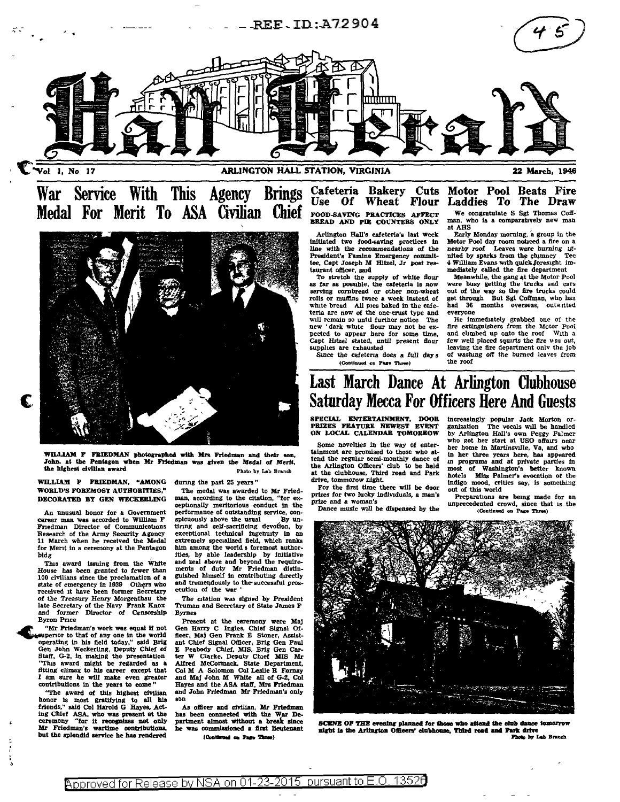

War Service With This Agency Brings Cafeteria Bakery Cuts Medal For Merit To ASA Civilian Chief



WILLIAM F FRIEDMAN photographed with Mrs Friedman and their son, John, at the Pentagon when Mr Friedman was given the Medal of Merit, the highest civilian award Photo by Lab Branch

WILLIAM F FRIEDMAN, "AMONG WORLD'S FOREMOST AUTHORITIES," DECORATED BY GEN WECKEBLING

An unusual honor for a Government career man was accorded to William F Fnedman Director of Communications Research of the Army Security Agency 11 March when be received the Medal for Ment In a ceremony at the Pentagon bldg

Tins award issuing from the White House has been granted to fewer than 100 civilians since the proclamation of a state of emergency in 1939 Others who received it have been former secretary ot the Treasury Henry Morgenthau the late Secretary of the Navy Frank Knox and former Director Of Censorship Byron Pnce

"Mr Friedman's work was equal if not sequiperior to that of any one in the world operating in his field today," said Brig Gen John Weckerling, Deputy Chief of<br>Staff, G-2, in making the presentation "This award might be regarded as a fitting climax to his career except that I am sure he will make even greater contributions In the years to come "

"The award of this highest civilian honor is most gratifying to all his friends," said Col Harold G Hayes, Acting Chief ASA, who was present at the ceremony "for It recognizes not only Friedman's wartime contributions, but the splendid service he has rendered

dunng the past 25 years "

The medal was awarded to Mr Friedman, according to the citation, "tor exceptionally meritorious conduct In the performance of outstanding service, con-<br>spicuously above the usual By unspicuously above the usual tlnng and self-sacrificing devofion, by exceptional technical Ingenuity In an extremely specialized field, which ranks him among the world s foremost authorities, by able leadership by Initiative and zeal above and beyond the requirements of duty Mr Friedman distin-guished himself In contributing directly and tremendously to the successful prosecution of the war '

The citation was signed by President Truman and Secretary of State James F Byrnes

Present at the ceremony were Maj Gen Harry C Ingles, Chief Signal Of-ficer, Maj Gen Frank E Stoner, Assistant Chief Signal Officer, Brig Gen Paul E Peabody Chief, MIS, Brig Gen Car-<br>ter W Clarke, Deputy Chief MIS Mr Alfred McCormack, State Department,<br>Col M A Solomon Col Leslie R Fornay<br>and Maj John M White all of G-2, Col Hayes and the ASA staff, Mrs Friedman and John Friedman Mr Friedman's only son

As officer and civilian, Mr Friedman has been connected with the War Department almost without a break since<br>he was commissioned a first lieutenant<br>IContinued on Pare Three)

# Use Of Wheat Flour FOOD-SAVING PRACTICES AFFECT BREAD AND PIE COUNTERS ONLY

Arlington Hall's eafeteria's last week Initiated two food-saving practices In llne with the recommendations of the President's Famine Emergency committee, Capt Joseph M Hitzel, Jr post res-<br>taurant officer, said

To stretch the supply of white flour as far as possible, the cafeteria is now serving cornbread or other non-wheat rolls or muffins twice a week Instead of white bread All pies baked in the cafeteria are now of the one-erust type and will remain so until further notice The new ' dark white flour may not be ex-<br>pected to appear here for some time,<br>Capt Hitzel stated, until present flour supplies are exhausted

Since the cafeteria does a full days (Continued on Page Three)

### Motor Pool Laddies To Beats Fire The Draw We congratulate S \$gt Thomas Coff-man, who la a comparatively new man at AHS

Early Monday morning, a group in the Motor Pool day room noticed a fire on a motor Pool day room number a fire on a nited by sparks from the chimney Tec 4 William Evans with quick foresight im-

mediately called the fire department<br>Meanwhile, the gang at the Motor Pool were busy getting the trucks and cars out of the way so the fire trucks could get through But Sgt Coffman, who has had 36 months overseas, outwitted everyone<br>He immediately grabbed one of the

He lmmedlately grabb~d one of the fire extinguishers from the Motor Pool and climbed up onto the roof With a few well placed sqwrts the *tire* was out, leaving the fire department only the job of washing off the burned leaves from the roof

# Last March Dance At Arlington Clubhouse Saturday Mecca For Officers Here And Guests

SPECIAL ENTERTAINMENT, DOOR PRIZES FEATURE NEWEST EVENT ON LOCAL CALENDAR TOMORROW

Some novelties in the way of entertainment are promised to those who at-<br>tend the regular semi-monthly dance of the Arlington Officers' club to be held at the clubhouse, Third road and Park drive, tommorow night

For the first time there will be door prizes for two lucky Individuals, a man's prize and a woman's

Dance music will be dispensed by the

Increasingly popular Jaok Morton or-ganization The vocals will be handled by Arlington Hall's own Peggy Palmer who got her start at USO affairs near her home in Martinsville, Va, and who<br>in her three years here, has appeared In her three years here, baa appeared *m* programs and al private parties In most of Washington's better known hotels Miss Palmer's evocation of the indigo mood, critics say, is something out of this world

Preparations are being made for an unprecedented crowd, since that is the (Continued on Page Three)



SCENE OF THE evening planned for those who attend the club dance tome night is the Arlington Officers' clubhouse, Third road and Park drive Photo by Lab Branch